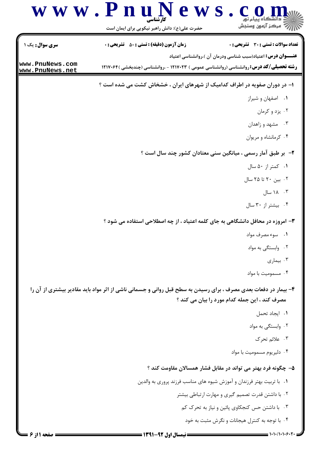|                                    | حضرت علی(ع): دانش راهبر نیکویی برای ایمان است                                                                                                                         | رآ مرکز آزمون وسنجش                          |
|------------------------------------|-----------------------------------------------------------------------------------------------------------------------------------------------------------------------|----------------------------------------------|
| <b>سری سوال :</b> یک ۱             | <b>زمان آزمون (دقیقه) : تستی : 50 ٪ تشریحی : 0</b>                                                                                                                    | <b>تعداد سوالات : تستی : 30 ٪ تشریحی : 0</b> |
| www.PnuNews.com<br>www.PnuNews.net | <b>عنـــوان درس:</b> اعتیاد(سبب شناسی ودرمان آن )،روانشناسی اعتیاد<br><b>رشته تحصیلی/کد درس: ر</b> وانشناسی (روانشناسی عمومی ) ۱۲۱۷۰۲۳ - ،روانشناسی (چندبخشی )۱۲۱۷۰۶۴ |                                              |
|                                    | ۱– در دوران صفویه در اطراف کدامیک از شهرهای ایران ، خشخاش کشت می شده است ؟                                                                                            |                                              |
|                                    |                                                                                                                                                                       | ٠١ اصفهان و شيراز                            |
|                                    |                                                                                                                                                                       | ۰۲ يزد و کرمان                               |
|                                    |                                                                                                                                                                       | ۰۳ مشهد و زاهدان                             |
|                                    |                                                                                                                                                                       | ۰۴ کرمانشاه و مربوان                         |
|                                    | ۲-۔ بر طبق آمار رسمی ، میانگین سنی معتادان کشور چند سال است ؟                                                                                                         |                                              |
|                                    |                                                                                                                                                                       | ۰۱ کمتر از ۵۰ سال                            |
|                                    |                                                                                                                                                                       | ۰۲ بین ۲۰ تا ۲۵ سال                          |
|                                    |                                                                                                                                                                       | ۰۳ ۱۸ سال                                    |
|                                    |                                                                                                                                                                       | ۰۴ بیشتر از ۳۰ سال                           |
|                                    | <b>۳</b> - امروزه در محافل دانشگاهی به جای کلمه اعتیاد ، از چه اصطلاحی استفاده می شود ؟                                                                               |                                              |
|                                    |                                                                                                                                                                       | ۰۱ مود مصرف مواد                             |
|                                    |                                                                                                                                                                       | ۰۲ وابستگی به مواد                           |
|                                    |                                                                                                                                                                       | ۰۳ بیماری                                    |
|                                    |                                                                                                                                                                       | ۰۴ مسمومیت با مواد                           |
|                                    | ۴- بیمار در دفعات بعدی مصرف ، برای رسیدن به سطح قبل روانی و جسمانی ناشی از اثر مواد باید مقادیر بیشتری از آن را<br>مصرف کند ، این جمله کدام مورد را بیان می کند ؟     |                                              |
|                                    |                                                                                                                                                                       | ٠١. ايجاد تحمل                               |
|                                    |                                                                                                                                                                       | ۰۲ وابستگی به مواد                           |
|                                    |                                                                                                                                                                       | ۰۳ علائم تحرک                                |
|                                    |                                                                                                                                                                       | ۰۴ دليريوم مسموميت با مواد                   |
|                                    | ۵– چگونه فرد بهتر می تواند در مقابل فشار همسالان مقاومت کند ؟                                                                                                         |                                              |
|                                    | ۰۱ با تربیت بهتر فرزندان و آموزش شیوه های مناسب فرزند پروری به والدین                                                                                                 |                                              |
|                                    | ۰۲ با داشتن قدرت تصمیم گیری و مهارت ارتباطی بیشتر                                                                                                                     |                                              |
|                                    | ۰۳ با داشتن حس کنجکاوی پائین و نیاز به تحرک کم                                                                                                                        |                                              |
|                                    | ۰۴ با توجه به کنترل هیجانات و نگرش مثبت به خود                                                                                                                        |                                              |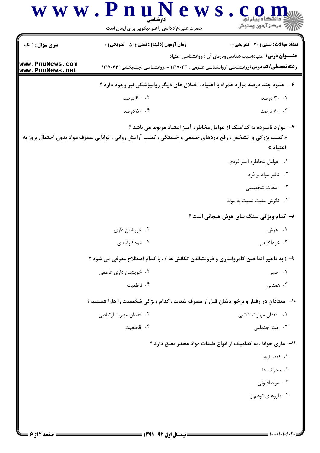|                 | حضرت علی(ع): دانش راهبر نیکویی برای ایمان است                                                           | أأأآ مركز آزمون وسنجش                                                  |
|-----------------|---------------------------------------------------------------------------------------------------------|------------------------------------------------------------------------|
| سری سوال: ۱ یک  | <b>زمان آزمون (دقیقه) : تستی : 50 ٪ تشریحی : 0</b>                                                      | تعداد سوالات : تستى : 30 - تشريحي : 0                                  |
| www.PnuNews.com |                                                                                                         | <b>عنـــوان درس:</b> اعتیاد(سبب شناسی ودرمان آن )،روانشناسی اعتیاد     |
| www.PnuNews.net | <b>رشته تحصیلی/کد درس: ر</b> وانشناسی (روانشناسی عمومی ) ۱۲۱۷۰۲۳ - ،روانشناسی (چندبخشی )۱۲۱۷۰۶۴         |                                                                        |
|                 | ۶- حدود چند درصد موارد همراه با اعتیاد، اختلال های دیگر روانپزشکی نیز وجود دارد ؟                       |                                                                        |
|                 | ۰. ۶۰ درصد                                                                                              | ۰.۱ ۳۰ درصد                                                            |
|                 | ۵۰ .۴ درصد                                                                                              | ۰۳ درصد                                                                |
|                 |                                                                                                         | ۷– موارد نامبرده به کدامیک از عوامل مخاطره آمیز اعتیاد مربوط می باشد ؟ |
|                 | « کسب بزرگی و  تشخص ، رفع دردهای جسمی و خستگی ، کسب آرامش روانی ، توانایی مصرف مواد بدون احتمال بروز به | اعتياد »                                                               |
|                 |                                                                                                         |                                                                        |
|                 |                                                                                                         | ۰۱ عوامل مخاطره آمیز فردی<br>۰۲ تاثیر مواد بر فرد                      |
|                 |                                                                                                         | ۰۳ مفات شخصیتی                                                         |
|                 |                                                                                                         | ۰۴ نگرش مثبت نسبت به مواد                                              |
|                 |                                                                                                         |                                                                        |
|                 |                                                                                                         | ٨- كدام ويژگي سنگ بناي هوش هيجاني است ؟                                |
|                 | ۰۲ خویشتن داری<br>۰۴ خودکارآمدی                                                                         | ۰۱ هوش<br>۰۳ خودآگاهی                                                  |
|                 |                                                                                                         |                                                                        |
|                 | ۹- ( به تاخیر انداختن کامرواسازی و فرونشاندن تکانش ها ) ، با کدام اصطلاح معرفی می شود ؟                 |                                                                        |
|                 | ۰۲ خویشتن داری عاطفی<br>۰۴ قاطعیت                                                                       | ۰۱ صبر<br>۰۳ همدلی                                                     |
|                 |                                                                                                         |                                                                        |
|                 | ۱۰− معتادان در رفتار و برخوردشان قبل از مصرف شدید ، کدام ویژگی شخصیت را دارا هستند ؟                    |                                                                        |
|                 | ۰۲ فقدان مهارت ارتباطي                                                                                  | ۰۱ فقدان مهارت کلامی                                                   |
|                 | ۰۴ قاطعيت                                                                                               | ۰۳ ضد اجتماعی                                                          |
|                 |                                                                                                         | 11-   ماری جوانا ، به کدامیک از انواع طبقات مواد مخدر تعلق دارد ؟      |
|                 |                                                                                                         | ۰۱ کندسازها                                                            |
|                 |                                                                                                         | ۰۲ محرک ها                                                             |
|                 |                                                                                                         | ۰۳ مواد افیونی                                                         |
|                 |                                                                                                         | ۰۴ داروهای توهم زا                                                     |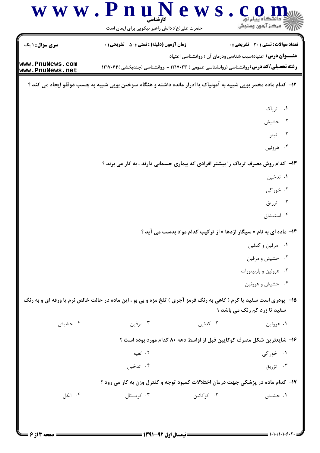|                                    |                                                                                                                     | حضرت علی(ع): دانش راهبر نیکویی برای ایمان است                          |                                              |
|------------------------------------|---------------------------------------------------------------------------------------------------------------------|------------------------------------------------------------------------|----------------------------------------------|
| سری سوال: ۱ یک                     | <b>زمان آزمون (دقیقه) : تستی : 50 ٪ تشریحی : 0</b>                                                                  | <b>عنـــوان درس:</b> اعتیاد(سبب شناسی ودرمان آن )،روانشناسی اعتیاد     | <b>تعداد سوالات : تستی : 30 ٪ تشریحی : 0</b> |
| www.PnuNews.com<br>www.PnuNews.net | <b>رشته تحصیلی/کد درس: روانشناسی (روانشناسی عمومی ) ۱۲۱۷۰۲۳ - ،روانشناسی (چندبخشی )۱۲۱۷۰۶۴</b>                      |                                                                        |                                              |
|                                    | ۱۲– کدام ماده مخدر بویی شبیه به آمونیاک یا ادرار مانده داشته و هنگام سوختن بویی شبیه به چسب دوقلو ایجاد می کند ؟    |                                                                        |                                              |
|                                    |                                                                                                                     |                                                                        |                                              |
|                                    |                                                                                                                     |                                                                        | ۰۱ تریاک                                     |
|                                    |                                                                                                                     |                                                                        | ۰۲ حشیش                                      |
|                                    |                                                                                                                     |                                                                        | ۰۳ تينر                                      |
|                                    |                                                                                                                     |                                                                        | ۰۴ هروئين                                    |
|                                    | ۱۳- کدام روش مصرف تریاک را بیشتر افرادی که بیماری جسمانی دارند ، به کار می برند ؟                                   |                                                                        |                                              |
|                                    |                                                                                                                     |                                                                        | ۰۱ تدخین                                     |
|                                    |                                                                                                                     |                                                                        | ۰۲ خوراکی                                    |
|                                    |                                                                                                                     |                                                                        | ۰۳ تزریق                                     |
|                                    |                                                                                                                     |                                                                        | ۰۴ استنشاق                                   |
|                                    |                                                                                                                     | ۱۴- ماده ای به نام « سیگار اژدها » از ترکیب کدام مواد بدست می آید ؟    |                                              |
|                                    |                                                                                                                     |                                                                        | ٠١ مرفين و كدئين                             |
|                                    |                                                                                                                     |                                                                        | ۰۲ حشیش و مرفین                              |
|                                    |                                                                                                                     |                                                                        | ۰۳ هروئین و باربیتورات                       |
|                                    |                                                                                                                     |                                                                        | ۰۴ حشیش و هروئین                             |
|                                    | ۱۵- پودری است سفید یا کرم ( گاهی به رنگ قرمز آجری ) تلخ مزه و بی بو ، این ماده در حالت خالص نرم یا ورقه ای و به رنگ |                                                                        |                                              |
|                                    |                                                                                                                     |                                                                        | سفید تا زرد کم رنگ می باشد ؟                 |
| ۰۴ حشیش                            | ۰۳ مرفين                                                                                                            | ۰۲ کدئین                                                               | ۰۱ هروئين                                    |
|                                    |                                                                                                                     | ۱۶– شایعترین شکل مصرف کوکایین قبل از اواسط دهه ۸۰ کدام مورد بوده است ؟ |                                              |
|                                    | ۰۲ انفیه                                                                                                            |                                                                        | ۰۱ خوراکی                                    |
|                                    | ۰۴ تدخین                                                                                                            |                                                                        | ۰۳ تزریق                                     |
|                                    | ۱۷- کدام ماده در پزشکی جهت درمان اختلالات کمبود توجه و کنترل وزن به کار می رود ؟                                    |                                                                        |                                              |
| ۰۴ الکل                            | ۰۳ کریستال                                                                                                          | ۰۲ کوکائین                                                             | ۰۱ حشیش                                      |

 $=$  1  $\cdot$  1  $\cdot$  1  $\cdot$   $\cdot$  1  $\cdot$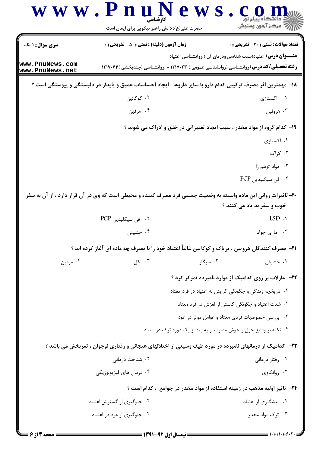|                                    | www.PnuNews<br>حضرت علی(ع): دانش راهبر نیکویی برای ایمان است                                                    |                                                                                                 | ے۔<br>ایک مرکز آزمون وسنجش                   |
|------------------------------------|-----------------------------------------------------------------------------------------------------------------|-------------------------------------------------------------------------------------------------|----------------------------------------------|
| <b>سری سوال : ۱ یک</b>             | <b>زمان آزمون (دقیقه) : تستی : 50 ٪ تشریحی : 0</b>                                                              | <del>عنــــو</del> ان درس: اعتیاد(سبب شناسی ودرمان آن )،روانشناسی اعتیاد                        | <b>تعداد سوالات : تستی : 30 ٪ تشریحی : 0</b> |
| www.PnuNews.com<br>www.PnuNews.net |                                                                                                                 | <b>رشته تحصیلی/کد درس: ر</b> وانشناسی (روانشناسی عمومی ) ۱۲۱۷۰۲۳ - ،روانشناسی (چندبخشی )۱۲۱۷۰۶۴ |                                              |
|                                    | ۱۸– مهمترین اثر مصرف ترکیبی کدام دارو با سایر داروها ، ایجاد احساسات عمیق و پایدار در دلبستگی و پیوستگی است ؟   |                                                                                                 |                                              |
|                                    | ۰۲ کوکائین                                                                                                      |                                                                                                 | ۰۱ اکستازی                                   |
|                                    | ۰۴ مرفين                                                                                                        |                                                                                                 | ۰۳ هروئين                                    |
|                                    |                                                                                                                 | ۱۹- کدام گروه از مواد مخدر ، سبب ایجاد تغییراتی در خلق و ادراک می شوند ؟                        |                                              |
|                                    |                                                                                                                 |                                                                                                 | ۰۱ اکستازی                                   |
|                                    |                                                                                                                 |                                                                                                 | ۰۲ کراک                                      |
|                                    |                                                                                                                 |                                                                                                 | ۰۳ مواد توهم زا                              |
|                                    |                                                                                                                 |                                                                                                 | ۴. فن سيكليدين PCP                           |
|                                    | +۲- تاثیرات روانی این ماده وابسته به وضعیت جسمی فرد مصرف کننده و محیطی است که وی در آن قرار دارد ، از آن به سفر |                                                                                                 | خوب و سفر بد یاد می کنند ؟                   |
|                                    | ۰۲ فن سيكليدين PCP                                                                                              |                                                                                                 | LSD .                                        |
|                                    | ۰۴ حشیش                                                                                                         |                                                                                                 | ۰۳ ماری جوانا                                |
|                                    | <b>۲۱</b> - مصرف کنندگان هرویین ، تریاک و کوکایین غالباً اعتیاد خود را با مصرف چه ماده ای آغاز کرده اند ؟       |                                                                                                 |                                              |
| ۰۴ مرفين                           | ۰۳ الکل                                                                                                         | ۰۲ سیگار                                                                                        | ۰۱ حشیش                                      |
|                                    |                                                                                                                 | <b>۲۲</b> - مارلات بر روی کدامیک از موارد نامبرده تمرکز کرد ؟                                   |                                              |
|                                    |                                                                                                                 | ۰۱ تاریخچه زندگی و چگونگی گرایش به اعتیاد در فرد معتاد                                          |                                              |
|                                    |                                                                                                                 | ۰۲ شدت اعتیاد و چگونگی کاستن از لغزش در فرد معتاد                                               |                                              |
|                                    |                                                                                                                 | ۰۳ بررسی خصوصیات فردی معتاد و عوامل موثر در عود                                                 |                                              |
|                                    |                                                                                                                 | ۰۴ تکیه بر وقایع حول و حوش مصرف اولیه بعد از یک دوره ترک در معتاد                               |                                              |
|                                    | ۲۳– کدامیک از درمانهای نامبرده در مورد طیف وسیعی از اختلالهای هیجانی و رفتاری نوجوان ، ثمربخش می باشد ؟         |                                                                                                 |                                              |
|                                    | ۰۲ شناخت درمانی                                                                                                 |                                                                                                 | ۰۱ رفتار درمانی                              |
|                                    | ۰۴ درمان های فیزیولوژیکی                                                                                        |                                                                                                 | ۰۳ روانکاوی                                  |
|                                    |                                                                                                                 | <b>34</b> - تاثیر اولیه مذهب در زمینه استفاده از مواد مخدر در جوامع ، کدام است ؟                |                                              |
|                                    | ۰۲ جلوگیری از گسترش اعتیاد                                                                                      |                                                                                                 | ۰۱ پیشگیری از اعتیاد                         |
|                                    | ۰۴ جلوگیری از عود در اعتیاد                                                                                     |                                                                                                 | ۰۳ ترک مواد مخدر                             |
|                                    |                                                                                                                 |                                                                                                 |                                              |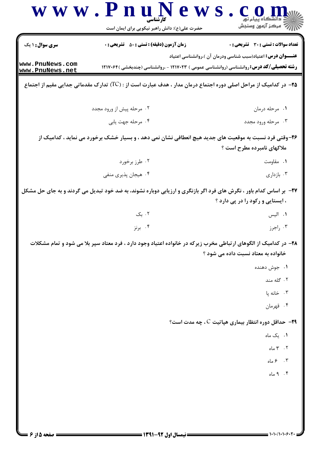| <b>سری سوال : ۱ یک</b>             | <b>زمان آزمون (دقیقه) : تستی : 50 ٪ تشریحی : 0</b>                                                                      | <b>تعداد سوالات : تستی : 30 ٪ تشریحی : 0</b>                         |
|------------------------------------|-------------------------------------------------------------------------------------------------------------------------|----------------------------------------------------------------------|
| www.PnuNews.com<br>www.PnuNews.net | <b>رشته تحصیلی/کد درس: روانشناسی (روانشناسی عمومی ) ۱۲۱۷۰۲۳ - ،روانشناسی (چندبخشی )۱۲۱۷۰۶۴</b>                          | <b>عنــــوان درس:</b> اعتیاد(سبب شناسی ودرمان آن )،روانشناسی اعتیاد  |
|                                    | <b>۲۵</b> − در کدامیک از مراحل اصلی دوره اجتماع درمان مدار ، هدف عبارت است از : (TC) تدارک مقدماتی جدایی مقیم از اجتماع |                                                                      |
|                                    | ۰۲ مرحله پیش از ورود مجدد                                                                                               | ٠١ مرحله درمان                                                       |
|                                    | ۰۴ مرحله جهت يابي                                                                                                       | ۰۳ مرحله ورود مجدد                                                   |
|                                    | ۲۶-وقتی فرد نسبت به موقعیت های جدید هیچ انعطافی نشان نمی دهد ، و بسیار خشک برخورد می نماید ، کدامیک از                  | ملاکهای نامبرده مطرح است ؟                                           |
|                                    | ۰۲ طرز برخورد                                                                                                           | ۰۱ مقاومت                                                            |
|                                    | ۰۴ هیجان پذیری منفی                                                                                                     | ۰۳ بازداری                                                           |
|                                    | ۲۷- ً بر اساس کدام باور ، نگرش های فرد اگر بازنگری و ارزیابی دوباره نشوند، به ضد خود تبدیل می گردند و به جای حل مشکل    | ، ایستایی و رکود را در پی دارد ؟                                     |
|                                    | ۰۲ بک                                                                                                                   | ۰۱ الیس                                                              |
|                                    | ۰۴ برنز                                                                                                                 | ۰۳ راجرز                                                             |
|                                    | ۲۸– در کدامیک از الگوهای ارتباطی مخرب زیرکه در خانواده اعتیاد وجود دارد ، فرد معتاد سپر بلا می شود و تمام مشکلات        |                                                                      |
|                                    |                                                                                                                         | خانواده به معتاد نسبت داده می شود ؟                                  |
|                                    |                                                                                                                         | ۰۱ جوش دهنده<br>۰۲ گله مند                                           |
|                                    |                                                                                                                         | ۰۳ خانه یا                                                           |
|                                    |                                                                                                                         | ۰۴ قهرمان                                                            |
|                                    |                                                                                                                         | $\cdot$ ۹۳– حداقل دوره انتظار بیماری هپاتیت C ، چه مدت است $\cdot$ ۹ |
|                                    |                                                                                                                         | ۰۱ یک ماه                                                            |
|                                    |                                                                                                                         | ۰۲ $\uparrow$ ماه                                                    |
|                                    |                                                                                                                         | ۰۳ ماه $\mathcal{S}$                                                 |
|                                    |                                                                                                                         | ۰۴ ماه $\cdot$                                                       |

 $\mathbf T$